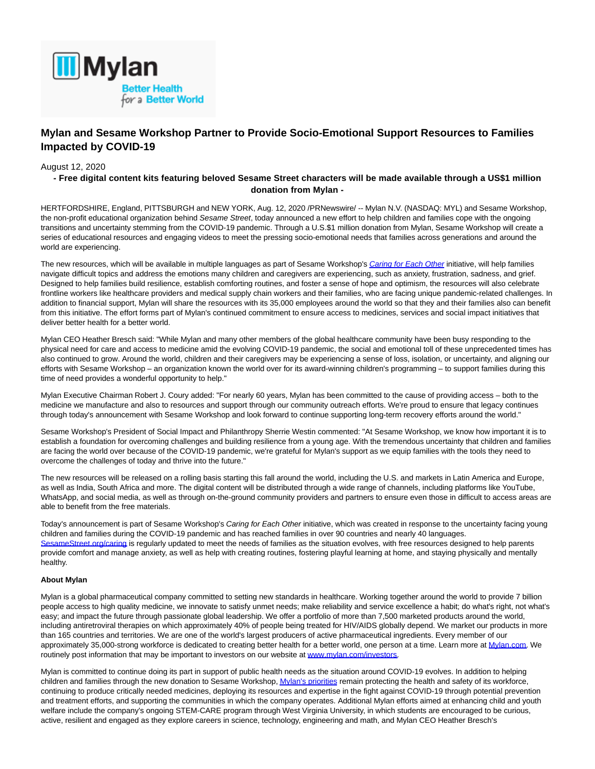

# **Mylan and Sesame Workshop Partner to Provide Socio-Emotional Support Resources to Families Impacted by COVID-19**

## August 12, 2020

## **- Free digital content kits featuring beloved Sesame Street characters will be made available through a US\$1 million donation from Mylan -**

HERTFORDSHIRE, England, PITTSBURGH and NEW YORK, Aug. 12, 2020 /PRNewswire/ -- Mylan N.V. (NASDAQ: MYL) and Sesame Workshop, the non-profit educational organization behind Sesame Street, today announced a new effort to help children and families cope with the ongoing transitions and uncertainty stemming from the COVID-19 pandemic. Through a U.S.\$1 million donation from Mylan, Sesame Workshop will create a series of educational resources and engaging videos to meet the pressing socio-emotional needs that families across generations and around the world are experiencing.

The new resources, which will be available in multiple languages as part of Sesame Workshop's [Caring for Each Other](https://c212.net/c/link/?t=0&l=en&o=2883068-1&h=3977212439&u=http%3A%2F%2Fwww.sesamestreet.org%2Fcaring&a=Caring+for+Each+Other) initiative, will help families navigate difficult topics and address the emotions many children and caregivers are experiencing, such as anxiety, frustration, sadness, and grief. Designed to help families build resilience, establish comforting routines, and foster a sense of hope and optimism, the resources will also celebrate frontline workers like healthcare providers and medical supply chain workers and their families, who are facing unique pandemic-related challenges. In addition to financial support, Mylan will share the resources with its 35,000 employees around the world so that they and their families also can benefit from this initiative. The effort forms part of Mylan's continued commitment to ensure access to medicines, services and social impact initiatives that deliver better health for a better world.

Mylan CEO Heather Bresch said: "While Mylan and many other members of the global healthcare community have been busy responding to the physical need for care and access to medicine amid the evolving COVID-19 pandemic, the social and emotional toll of these unprecedented times has also continued to grow. Around the world, children and their caregivers may be experiencing a sense of loss, isolation, or uncertainty, and aligning our efforts with Sesame Workshop – an organization known the world over for its award-winning children's programming – to support families during this time of need provides a wonderful opportunity to help."

Mylan Executive Chairman Robert J. Coury added: "For nearly 60 years, Mylan has been committed to the cause of providing access – both to the medicine we manufacture and also to resources and support through our community outreach efforts. We're proud to ensure that legacy continues through today's announcement with Sesame Workshop and look forward to continue supporting long-term recovery efforts around the world."

Sesame Workshop's President of Social Impact and Philanthropy Sherrie Westin commented: "At Sesame Workshop, we know how important it is to establish a foundation for overcoming challenges and building resilience from a young age. With the tremendous uncertainty that children and families are facing the world over because of the COVID-19 pandemic, we're grateful for Mylan's support as we equip families with the tools they need to overcome the challenges of today and thrive into the future."

The new resources will be released on a rolling basis starting this fall around the world, including the U.S. and markets in Latin America and Europe, as well as India, South Africa and more. The digital content will be distributed through a wide range of channels, including platforms like YouTube, WhatsApp, and social media, as well as through on-the-ground community providers and partners to ensure even those in difficult to access areas are able to benefit from the free materials.

Today's announcement is part of Sesame Workshop's Caring for Each Other initiative, which was created in response to the uncertainty facing young children and families during the COVID-19 pandemic and has reached families in over 90 countries and nearly 40 languages. [SesameStreet.org/caring i](https://c212.net/c/link/?t=0&l=en&o=2883068-1&h=1046683442&u=http%3A%2F%2Fwww.sesamestreet.org%2Fcaring&a=SesameStreet.org%2Fcaring)s regularly updated to meet the needs of families as the situation evolves, with free resources designed to help parents provide comfort and manage anxiety, as well as help with creating routines, fostering playful learning at home, and staying physically and mentally healthy.

#### **About Mylan**

Mylan is a global pharmaceutical company committed to setting new standards in healthcare. Working together around the world to provide 7 billion people access to high quality medicine, we innovate to satisfy unmet needs; make reliability and service excellence a habit; do what's right, not what's easy; and impact the future through passionate global leadership. We offer a portfolio of more than 7,500 marketed products around the world, including antiretroviral therapies on which approximately 40% of people being treated for HIV/AIDS globally depend. We market our products in more than 165 countries and territories. We are one of the world's largest producers of active pharmaceutical ingredients. Every member of our approximately 35,000-strong workforce is dedicated to creating better health for a better world, one person at a time. Learn more at [Mylan.com.](http://mylan.com/) We routinely post information that may be important to investors on our website at [www.mylan.com/investors.](https://c212.net/c/link/?t=0&l=en&o=2883068-1&h=753987155&u=http%3A%2F%2Fwww.mylan.com%2Finvestors&a=www.mylan.com%2Finvestors)

Mylan is committed to continue doing its part in support of public health needs as the situation around COVID-19 evolves. In addition to helping children and families through the new donation to Sesame Workshop, **Mylan's priorities** remain protecting the health and safety of its workforce, continuing to produce critically needed medicines, deploying its resources and expertise in the fight against COVID-19 through potential prevention and treatment efforts, and supporting the communities in which the company operates. Additional Mylan efforts aimed at enhancing child and youth welfare include the company's ongoing STEM-CARE program through West Virginia University, in which students are encouraged to be curious, active, resilient and engaged as they explore careers in science, technology, engineering and math, and Mylan CEO Heather Bresch's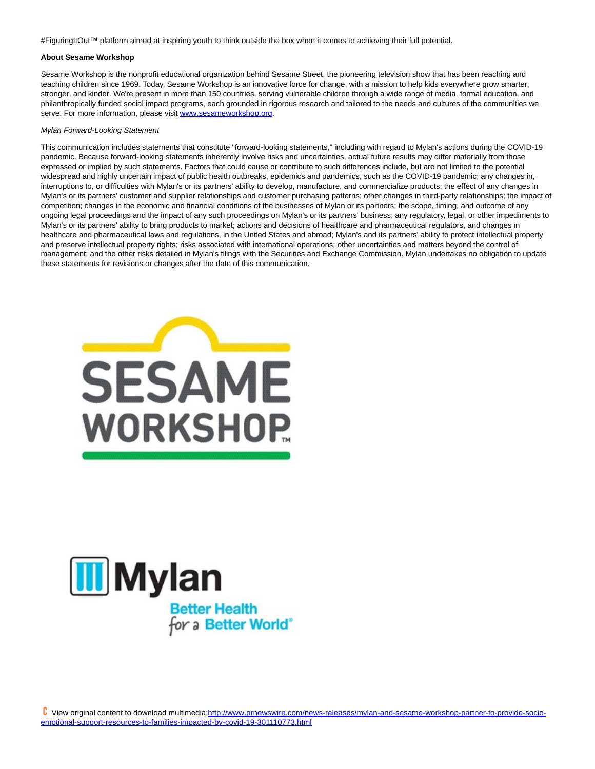#FiguringItOut™ platform aimed at inspiring youth to think outside the box when it comes to achieving their full potential.

#### **About Sesame Workshop**

Sesame Workshop is the nonprofit educational organization behind Sesame Street, the pioneering television show that has been reaching and teaching children since 1969. Today, Sesame Workshop is an innovative force for change, with a mission to help kids everywhere grow smarter, stronger, and kinder. We're present in more than 150 countries, serving vulnerable children through a wide range of media, formal education, and philanthropically funded social impact programs, each grounded in rigorous research and tailored to the needs and cultures of the communities we serve. For more information, please visi[t www.sesameworkshop.org.](https://c212.net/c/link/?t=0&l=en&o=2883068-1&h=6513629&u=http%3A%2F%2Fwww.sesameworkshop.org%2F&a=www.sesameworkshop.org)

#### Mylan Forward-Looking Statement

This communication includes statements that constitute "forward-looking statements," including with regard to Mylan's actions during the COVID-19 pandemic. Because forward-looking statements inherently involve risks and uncertainties, actual future results may differ materially from those expressed or implied by such statements. Factors that could cause or contribute to such differences include, but are not limited to the potential widespread and highly uncertain impact of public health outbreaks, epidemics and pandemics, such as the COVID-19 pandemic; any changes in, interruptions to, or difficulties with Mylan's or its partners' ability to develop, manufacture, and commercialize products; the effect of any changes in Mylan's or its partners' customer and supplier relationships and customer purchasing patterns; other changes in third-party relationships; the impact of competition; changes in the economic and financial conditions of the businesses of Mylan or its partners; the scope, timing, and outcome of any ongoing legal proceedings and the impact of any such proceedings on Mylan's or its partners' business; any regulatory, legal, or other impediments to Mylan's or its partners' ability to bring products to market; actions and decisions of healthcare and pharmaceutical regulators, and changes in healthcare and pharmaceutical laws and regulations, in the United States and abroad; Mylan's and its partners' ability to protect intellectual property and preserve intellectual property rights; risks associated with international operations; other uncertainties and matters beyond the control of management; and the other risks detailed in Mylan's filings with the Securities and Exchange Commission. Mylan undertakes no obligation to update these statements for revisions or changes after the date of this communication.